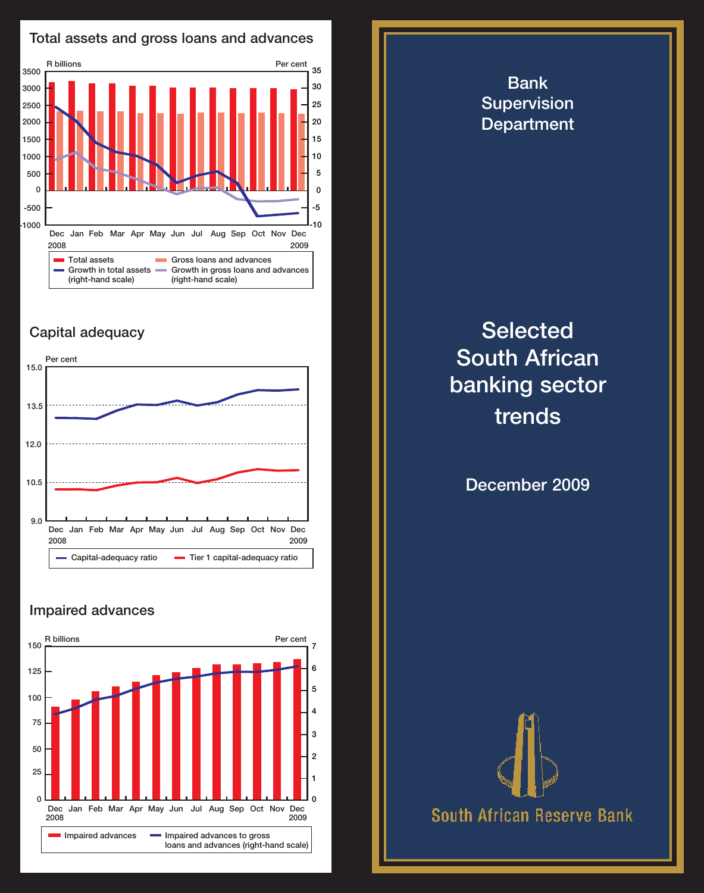

## Capital adequacy



## Impaired advances



## Bank **Supervision** Department **Selected** South African banking sector trends December 2009 **South African Reserve Bank**